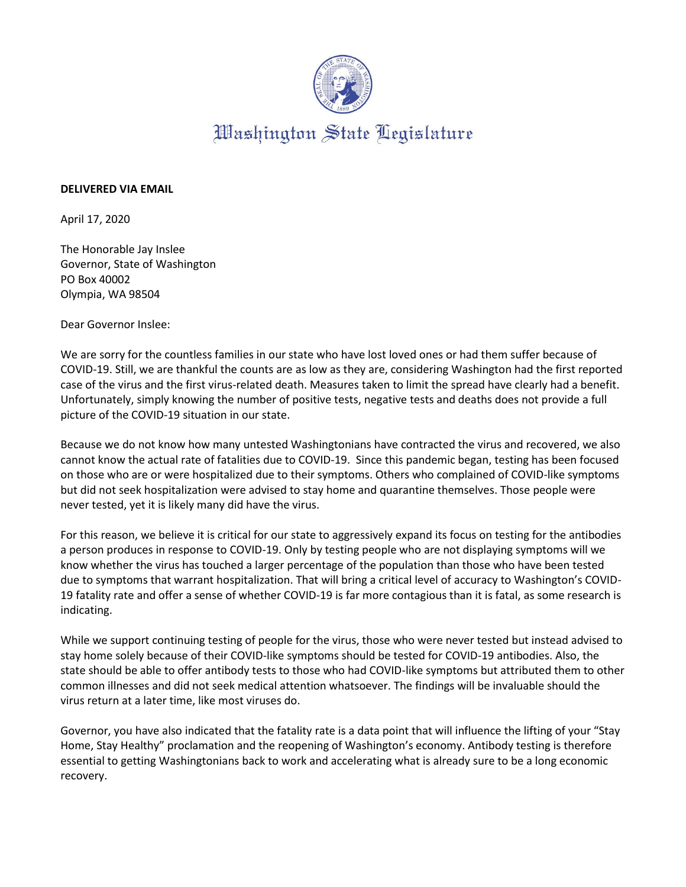

## **DELIVERED VIA EMAIL**

April 17, 2020

The Honorable Jay Inslee Governor, State of Washington PO Box 40002 Olympia, WA 98504

Dear Governor Inslee:

We are sorry for the countless families in our state who have lost loved ones or had them suffer because of COVID-19. Still, we are thankful the counts are as low as they are, considering Washington had the first reported case of the virus and the first virus-related death. Measures taken to limit the spread have clearly had a benefit. Unfortunately, simply knowing the number of positive tests, negative tests and deaths does not provide a full picture of the COVID-19 situation in our state.

Because we do not know how many untested Washingtonians have contracted the virus and recovered, we also cannot know the actual rate of fatalities due to COVID-19. Since this pandemic began, testing has been focused on those who are or were hospitalized due to their symptoms. Others who complained of COVID-like symptoms but did not seek hospitalization were advised to stay home and quarantine themselves. Those people were never tested, yet it is likely many did have the virus.

For this reason, we believe it is critical for our state to aggressively expand its focus on testing for the antibodies a person produces in response to COVID-19. Only by testing people who are not displaying symptoms will we know whether the virus has touched a larger percentage of the population than those who have been tested due to symptoms that warrant hospitalization. That will bring a critical level of accuracy to Washington's COVID-19 fatality rate and offer a sense of whether COVID-19 is far more contagious than it is fatal, as some research is indicating.

While we support continuing testing of people for the virus, those who were never tested but instead advised to stay home solely because of their COVID-like symptoms should be tested for COVID-19 antibodies. Also, the state should be able to offer antibody tests to those who had COVID-like symptoms but attributed them to other common illnesses and did not seek medical attention whatsoever. The findings will be invaluable should the virus return at a later time, like most viruses do.

Governor, you have also indicated that the fatality rate is a data point that will influence the lifting of your "Stay Home, Stay Healthy" proclamation and the reopening of Washington's economy. Antibody testing is therefore essential to getting Washingtonians back to work and accelerating what is already sure to be a long economic recovery.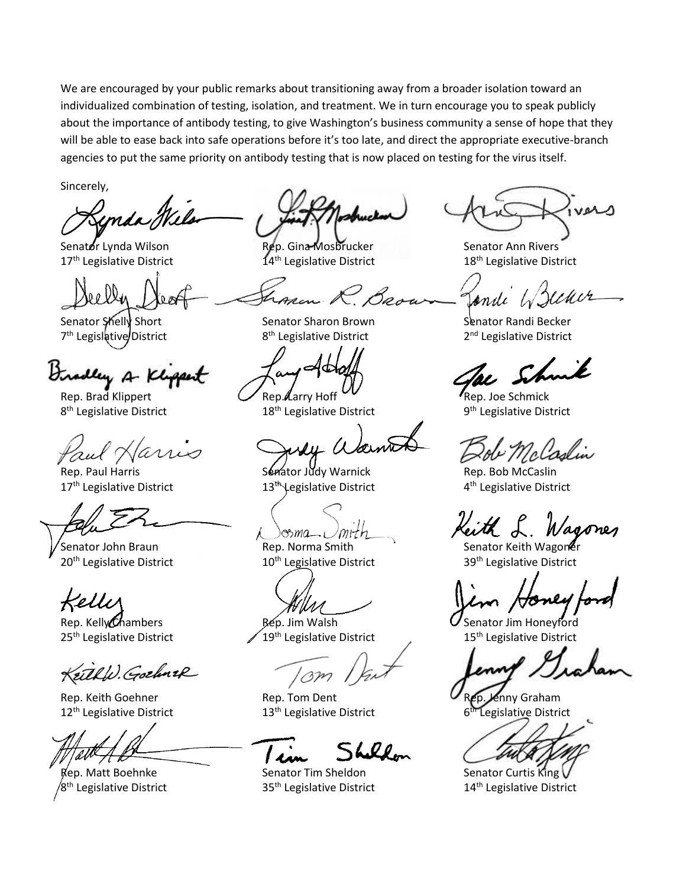We are encouraged by your public remarks about transitioning away from a broader isolation toward an individualized combination of testing, isolation, and treatment. We in turn encourage you to speak publicly about the importance of antibody testing, to give Washington's business community a sense of hope that they will be able to ease back into safe operations before it's too late, and direct the appropriate executive-branch agencies to put the same priority on antibody testing that is now placed on testing for the virus itself.

Sincerely,

Senator Lynda Wilson **Rep. Gina Mosbrucker** Senator Ann Rivers

7<sup>th</sup> Legislative District 8

Diradley A Kl

Rep. Brad Klippert  $\mathcal{U}$ Rep. Larry Hoff  $\mathcal{U}$ 8<sup>th</sup> Legislative District

Rep. Paul Harris **Senator Judy Warnick** Rep. Bob McCaslin  $17<sup>th</sup>$  Legislative District  $13<sup>th</sup>$  Legislative District

Kelli

KrithW. Gothnik

 $12<sup>th</sup>$  Legislative District  $13<sup>th</sup>$  Legislative District

/8<sup>th</sup> Legislative District

17<sup>th</sup> Legislative District 14<sup>th</sup> Legislative District 18<sup>th</sup> Legislative District

8<sup>th</sup> Legislative District

18<sup>th</sup> Legislative District

mith  $\mathcal{C}$ *ma*<sub> $-1$ </sub>

Rep. Kelly Chambers **Rep.** Jim Walsh **C** Senator Jim Honeyford<br>25<sup>th</sup> Legislative District 15<sup>th</sup> Legislative District 15<sup>th</sup> Legislative District  $25<sup>th</sup>$  Legislative District  $25<sup>th</sup>$  Legislative District

BM

Rep. Keith Goehner **Rep. Tom Dent** Rep. Tom Dent Rep. Jenny Graham

L.Qo.

Rep. Matt Boehnke Senator Tim Sheldon Senator Curtis King V

Senator Shelly Short Sharon Senator Sharon Brown Senator Randi Becker 2<sup>nd</sup> Legislative District

9<sup>th</sup> Legislative District

4<sup>th</sup> Legislative District

Senator John Braun **Senator Senator Keith Wagoner** Rep. Norma Smith Senator Keith Wagoner  $20<sup>th</sup>$  Legislative District  $10<sup>th</sup>$  Legislative District  $39<sup>th</sup>$  Legislative District

6<sup>th</sup> Legislative District

35<sup>th</sup> Legislative District 14<sup>th</sup> Legislative District